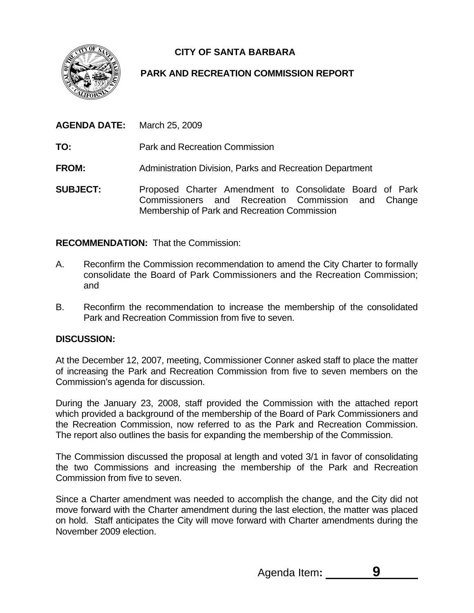**CITY OF SANTA BARBARA** 



## **PARK AND RECREATION COMMISSION REPORT**

| <b>AGENDA DATE:</b> March 25, 2009 |                                                                                                                                                               |
|------------------------------------|---------------------------------------------------------------------------------------------------------------------------------------------------------------|
| TO:                                | <b>Park and Recreation Commission</b>                                                                                                                         |
| <b>FROM:</b>                       | Administration Division, Parks and Recreation Department                                                                                                      |
| <b>SUBJECT:</b>                    | Proposed Charter Amendment to Consolidate Board of Park<br>Commissioners and Recreation Commission and Change<br>Membership of Park and Recreation Commission |

## **RECOMMENDATION:** That the Commission:

- A. Reconfirm the Commission recommendation to amend the City Charter to formally consolidate the Board of Park Commissioners and the Recreation Commission; and
- B. Reconfirm the recommendation to increase the membership of the consolidated Park and Recreation Commission from five to seven.

## **DISCUSSION:**

At the December 12, 2007, meeting, Commissioner Conner asked staff to place the matter of increasing the Park and Recreation Commission from five to seven members on the Commission's agenda for discussion.

During the January 23, 2008, staff provided the Commission with the attached report which provided a background of the membership of the Board of Park Commissioners and the Recreation Commission, now referred to as the Park and Recreation Commission. The report also outlines the basis for expanding the membership of the Commission.

The Commission discussed the proposal at length and voted 3/1 in favor of consolidating the two Commissions and increasing the membership of the Park and Recreation Commission from five to seven.

Since a Charter amendment was needed to accomplish the change, and the City did not move forward with the Charter amendment during the last election, the matter was placed on hold. Staff anticipates the City will move forward with Charter amendments during the November 2009 election.

Agenda Item**: 9**